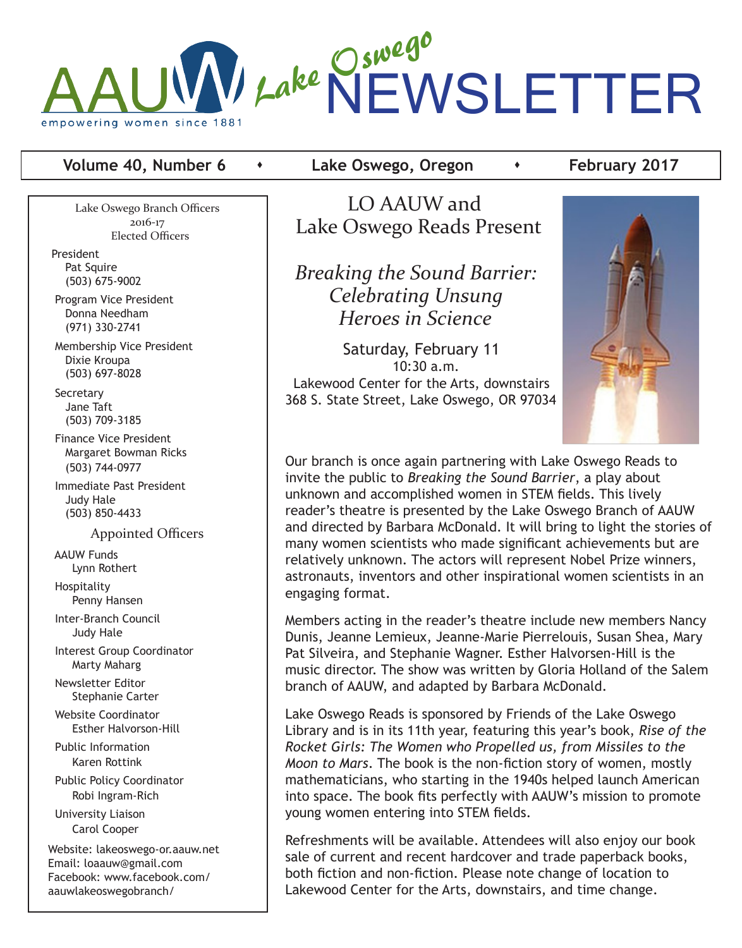

# **Volume 40, Number 6 •** Lake Oswego, Oregon **•** February 2017

Lake Oswego Branch Officers 2016-17 Elected Officers

President Pat Squire (503) 675-9002

 Program Vice President Donna Needham (971) 330-2741

 Membership Vice President Dixie Kroupa (503) 697-8028

**Secretary**  Jane Taft (503) 709-3185

 Finance Vice President Margaret Bowman Ricks (503) 744-0977

 Immediate Past President Judy Hale (503) 850-4433

Appointed Officers

 AAUW Funds Lynn Rothert

 Hospitality Penny Hansen

 Inter-Branch Council Judy Hale

 Interest Group Coordinator Marty Maharg

 Newsletter Editor Stephanie Carter

 Website Coordinator Esther Halvorson-Hill

 Public Information Karen Rottink

 Public Policy Coordinator Robi Ingram-Rich

 University Liaison Carol Cooper

Website: lakeoswego-or.aauw.net Email: loaauw@gmail.com Facebook: www.facebook.com/ aauwlakeoswegobranch/

 LO AAUW and Lake Oswego Reads Present

 *Breaking the Sound Barrier: Celebrating Unsung Heroes in Science*

 Saturday, February 11 10:30 a.m. Lakewood Center for the Arts, downstairs 368 S. State Street, Lake Oswego, OR 97034



Our branch is once again partnering with Lake Oswego Reads to invite the public to *Breaking the Sound Barrier*, a play about unknown and accomplished women in STEM fields. This lively reader's theatre is presented by the Lake Oswego Branch of AAUW and directed by Barbara McDonald. It will bring to light the stories of many women scientists who made significant achievements but are relatively unknown. The actors will represent Nobel Prize winners, astronauts, inventors and other inspirational women scientists in an engaging format.

Members acting in the reader's theatre include new members Nancy Dunis, Jeanne Lemieux, Jeanne-Marie Pierrelouis, Susan Shea, Mary Pat Silveira, and Stephanie Wagner. Esther Halvorsen-Hill is the music director. The show was written by Gloria Holland of the Salem branch of AAUW, and adapted by Barbara McDonald.

Lake Oswego Reads is sponsored by Friends of the Lake Oswego Library and is in its 11th year, featuring this year's book, *Rise of the Rocket Girls: The Women who Propelled us, from Missiles to the Moon to Mars*. The book is the non-fiction story of women, mostly mathematicians, who starting in the 1940s helped launch American into space. The book fits perfectly with AAUW's mission to promote young women entering into STEM fields.

Refreshments will be available. Attendees will also enjoy our book sale of current and recent hardcover and trade paperback books, both fiction and non-fiction. Please note change of location to Lakewood Center for the Arts, downstairs, and time change.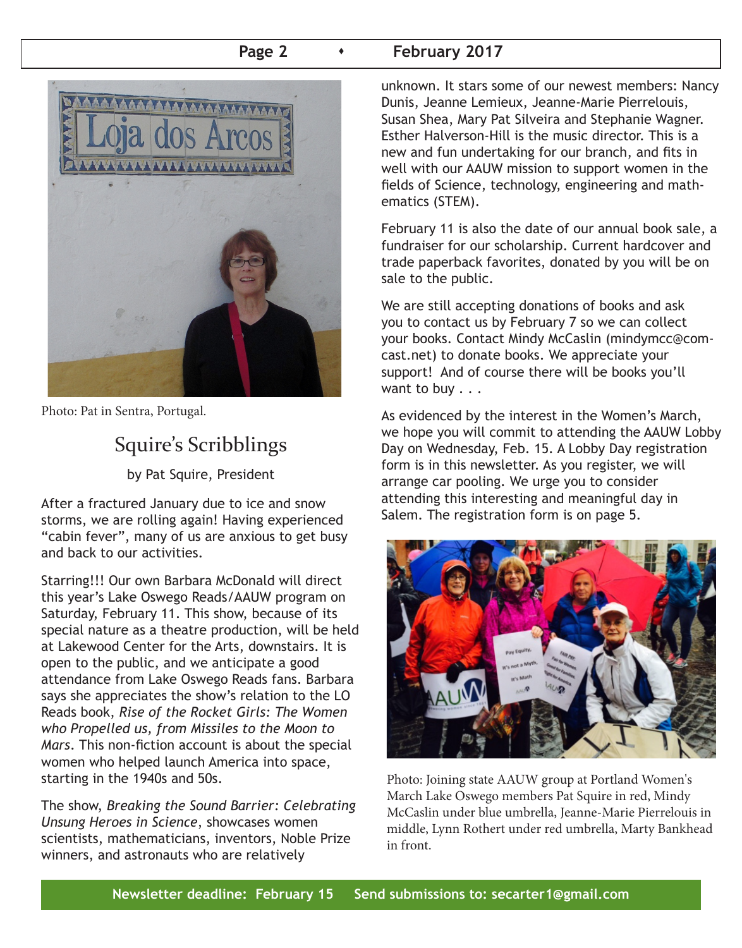# **Page 2 Case 2 Page 2 Page 2 Page 2 Page 2 Page 2 Page 2 Page 2 Page 2 Page 2 Page 2 Page 2 Page 2 Page 2 Page 2 Page 2 Page 2 Page 2 Page 2 Page 2 Page 2 Page 2 Page 2 Page**



Photo: Pat in Sentra, Portugal.

# Squire's Scribblings

by Pat Squire, President

After a fractured January due to ice and snow storms, we are rolling again! Having experienced "cabin fever", many of us are anxious to get busy and back to our activities.

Starring!!! Our own Barbara McDonald will direct this year's Lake Oswego Reads/AAUW program on Saturday, February 11. This show, because of its special nature as a theatre production, will be held at Lakewood Center for the Arts, downstairs. It is open to the public, and we anticipate a good attendance from Lake Oswego Reads fans. Barbara says she appreciates the show's relation to the LO Reads book, *Rise of the Rocket Girls: The Women who Propelled us, from Missiles to the Moon to Mars*. This non-fiction account is about the special women who helped launch America into space, starting in the 1940s and 50s.

The show, *Breaking the Sound Barrier: Celebrating Unsung Heroes in Science*, showcases women scientists, mathematicians, inventors, Noble Prize winners, and astronauts who are relatively

unknown. It stars some of our newest members: Nancy Dunis, Jeanne Lemieux, Jeanne-Marie Pierrelouis, Susan Shea, Mary Pat Silveira and Stephanie Wagner. Esther Halverson-Hill is the music director. This is a new and fun undertaking for our branch, and fits in well with our AAUW mission to support women in the fields of Science, technology, engineering and mathematics (STEM).

February 11 is also the date of our annual book sale, a fundraiser for our scholarship. Current hardcover and trade paperback favorites, donated by you will be on sale to the public.

We are still accepting donations of books and ask you to contact us by February 7 so we can collect your books. Contact Mindy McCaslin (mindymcc@comcast.net) to donate books. We appreciate your support! And of course there will be books you'll want to buy . . .

As evidenced by the interest in the Women's March, we hope you will commit to attending the AAUW Lobby Day on Wednesday, Feb. 15. A Lobby Day registration form is in this newsletter. As you register, we will arrange car pooling. We urge you to consider attending this interesting and meaningful day in Salem. The registration form is on page 5.



Photo: Joining state AAUW group at Portland Women's March Lake Oswego members Pat Squire in red, Mindy McCaslin under blue umbrella, Jeanne-Marie Pierrelouis in middle, Lynn Rothert under red umbrella, Marty Bankhead in front.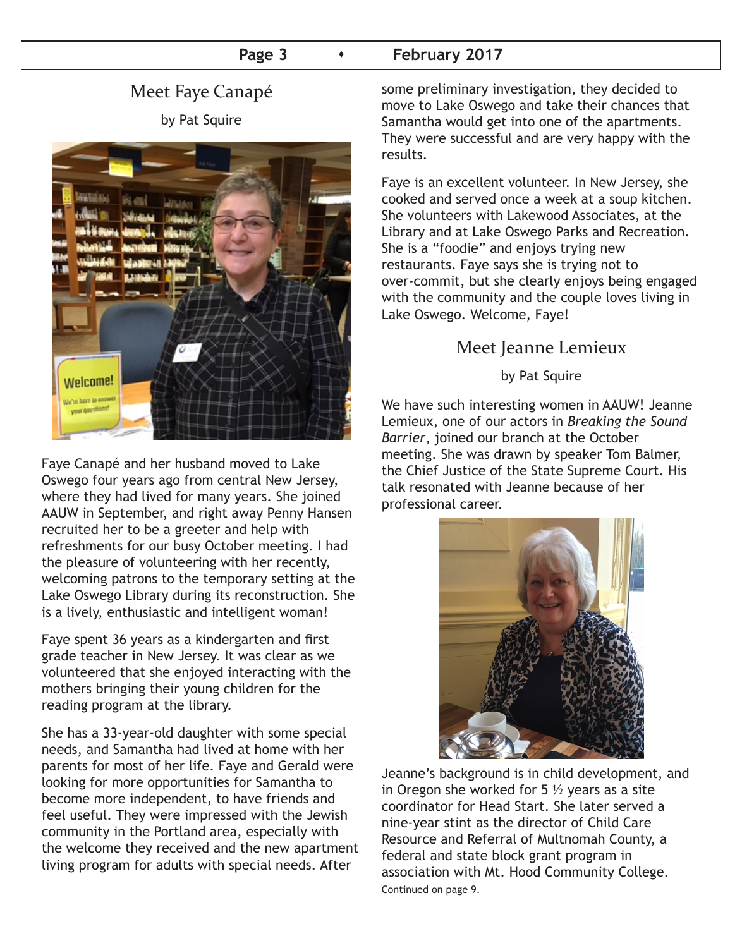# Page 3 **Capacity February 2017**

# Meet Faye Canapé by Pat Squire



Faye Canapé and her husband moved to Lake Oswego four years ago from central New Jersey, where they had lived for many years. She joined AAUW in September, and right away Penny Hansen recruited her to be a greeter and help with refreshments for our busy October meeting. I had the pleasure of volunteering with her recently, welcoming patrons to the temporary setting at the Lake Oswego Library during its reconstruction. She is a lively, enthusiastic and intelligent woman!

Faye spent 36 years as a kindergarten and first grade teacher in New Jersey. It was clear as we volunteered that she enjoyed interacting with the mothers bringing their young children for the reading program at the library.

She has a 33-year-old daughter with some special needs, and Samantha had lived at home with her parents for most of her life. Faye and Gerald were looking for more opportunities for Samantha to become more independent, to have friends and feel useful. They were impressed with the Jewish community in the Portland area, especially with the welcome they received and the new apartment living program for adults with special needs. After

some preliminary investigation, they decided to move to Lake Oswego and take their chances that Samantha would get into one of the apartments. They were successful and are very happy with the results.

Faye is an excellent volunteer. In New Jersey, she cooked and served once a week at a soup kitchen. She volunteers with Lakewood Associates, at the Library and at Lake Oswego Parks and Recreation. She is a "foodie" and enjoys trying new restaurants. Faye says she is trying not to over-commit, but she clearly enjoys being engaged with the community and the couple loves living in Lake Oswego. Welcome, Faye!

# Meet Jeanne Lemieux

### by Pat Squire

We have such interesting women in AAUW! Jeanne Lemieux, one of our actors in *Breaking the Sound Barrier*, joined our branch at the October meeting. She was drawn by speaker Tom Balmer, the Chief Justice of the State Supreme Court. His talk resonated with Jeanne because of her professional career.



Jeanne's background is in child development, and in Oregon she worked for  $5\frac{1}{2}$  years as a site coordinator for Head Start. She later served a nine-year stint as the director of Child Care Resource and Referral of Multnomah County, a federal and state block grant program in association with Mt. Hood Community College. Continued on page 9.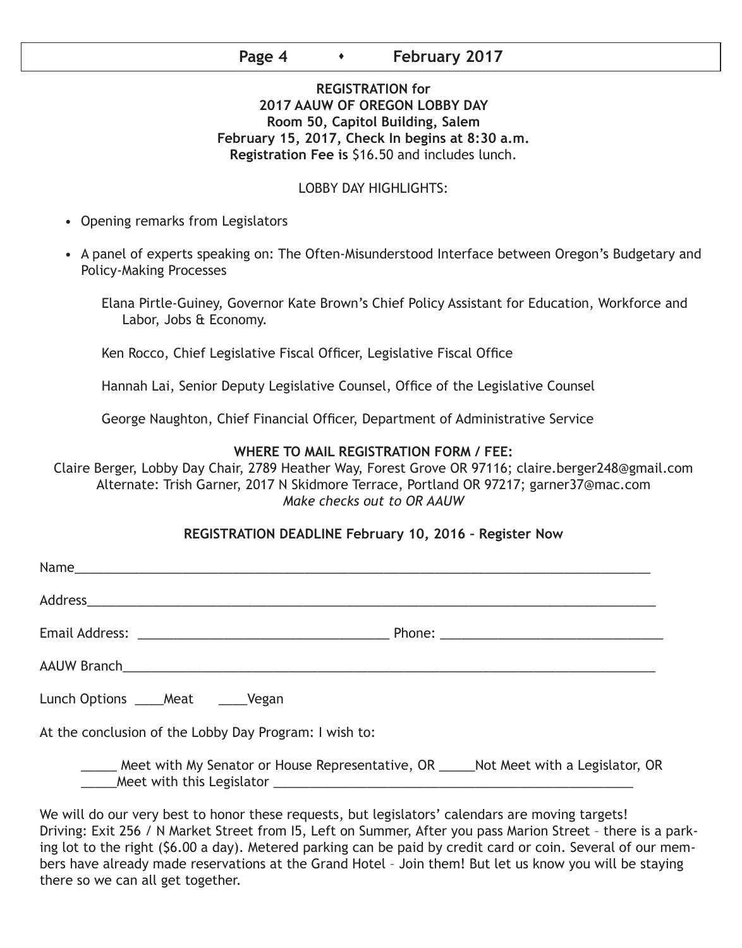# **Page 4 Conservery 2017**

# **REGISTRATION for 2017 AAUW OF OREGON LOBBY DAY Room 50, Capitol Building, Salem February 15, 2017, Check In begins at 8:30 a.m. Registration Fee is** \$16.50 and includes lunch.

### LOBBY DAY HIGHLIGHTS:

- Opening remarks from Legislators
- A panel of experts speaking on: The Often-Misunderstood Interface between Oregon's Budgetary and Policy-Making Processes
	- Elana Pirtle-Guiney, Governor Kate Brown's Chief Policy Assistant for Education, Workforce and Labor, Jobs & Economy.

Ken Rocco, Chief Legislative Fiscal Officer, Legislative Fiscal Office

Hannah Lai, Senior Deputy Legislative Counsel, Office of the Legislative Counsel

George Naughton, Chief Financial Officer, Department of Administrative Service

### **WHERE TO MAIL REGISTRATION FORM / FEE:**

Claire Berger, Lobby Day Chair, 2789 Heather Way, Forest Grove OR 97116; claire.berger248@gmail.com Alternate: Trish Garner, 2017 N Skidmore Terrace, Portland OR 97217; garner37@mac.com *Make checks out to OR AAUW*

#### **REGISTRATION DEADLINE February 10, 2016 – Register Now**

| Lunch Options _____Meat ______Vegan                    |                                                                                            |
|--------------------------------------------------------|--------------------------------------------------------------------------------------------|
| At the conclusion of the Lobby Day Program: I wish to: |                                                                                            |
|                                                        | ____ Meet with My Senator or House Representative, OR _____ Not Meet with a Legislator, OR |

We will do our very best to honor these requests, but legislators' calendars are moving targets! Driving: Exit 256 / N Market Street from I5, Left on Summer, After you pass Marion Street – there is a parking lot to the right (\$6.00 a day). Metered parking can be paid by credit card or coin. Several of our members have already made reservations at the Grand Hotel – Join them! But let us know you will be staying there so we can all get together.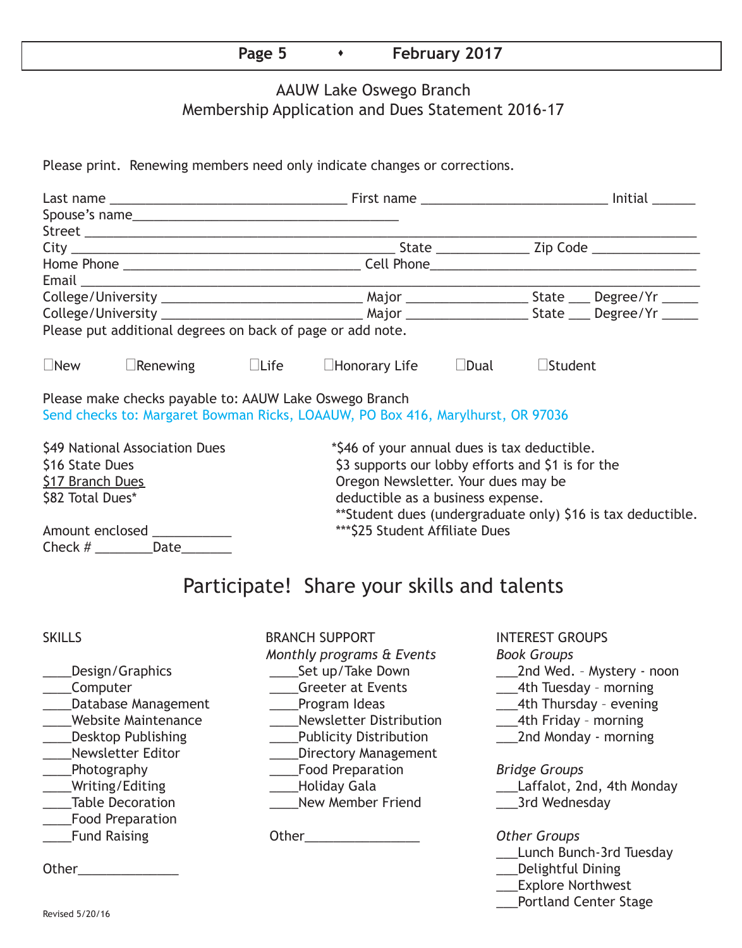# **Page 5 Case 12017**

# AAUW Lake Oswego Branch Membership Application and Dues Statement 2016-17

Please print. Renewing members need only indicate changes or corrections.

|                                | Spouse's name                                              |  |                                                                                 |  |                |                                                              |  |
|--------------------------------|------------------------------------------------------------|--|---------------------------------------------------------------------------------|--|----------------|--------------------------------------------------------------|--|
|                                |                                                            |  |                                                                                 |  |                |                                                              |  |
|                                |                                                            |  |                                                                                 |  |                |                                                              |  |
|                                |                                                            |  |                                                                                 |  |                |                                                              |  |
|                                |                                                            |  |                                                                                 |  |                |                                                              |  |
|                                |                                                            |  |                                                                                 |  |                |                                                              |  |
|                                |                                                            |  |                                                                                 |  |                |                                                              |  |
|                                | Please put additional degrees on back of page or add note. |  |                                                                                 |  |                |                                                              |  |
| $\Box$ New                     | $\Box$ Renewing $\Box$ Life                                |  | $\Box$ Honorary Life $\Box$ Dual                                                |  | $\Box$ Student |                                                              |  |
|                                | Please make checks payable to: AAUW Lake Oswego Branch     |  | Send checks to: Margaret Bowman Ricks, LOAAUW, PO Box 416, Marylhurst, OR 97036 |  |                |                                                              |  |
| \$49 National Association Dues |                                                            |  | *\$46 of your annual dues is tax deductible.                                    |  |                |                                                              |  |
| \$16 State Dues                |                                                            |  | \$3 supports our lobby efforts and \$1 is for the                               |  |                |                                                              |  |
| <b>\$17 Branch Dues</b>        |                                                            |  | Oregon Newsletter. Your dues may be                                             |  |                |                                                              |  |
| \$82 Total Dues*               |                                                            |  | deductible as a business expense.                                               |  |                |                                                              |  |
|                                |                                                            |  |                                                                                 |  |                | ** Student dues (undergraduate only) \$16 is tax deductible. |  |
|                                | Amount enclosed ____________                               |  | *** \$25 Student Affiliate Dues                                                 |  |                |                                                              |  |
|                                | Check $#$ Date                                             |  |                                                                                 |  |                |                                                              |  |
|                                |                                                            |  |                                                                                 |  |                |                                                              |  |
|                                |                                                            |  | Participate! Share your skills and talents                                      |  |                |                                                              |  |

\_\_\_\_Food Preparation

SKILLS BRANCH SUPPORT INTEREST GROUPS *Monthly programs & Events Book Groups* \_\_\_\_Computer \_\_\_\_Greeter at Events \_\_\_4th Tuesday – morning Latabase Management Lating Program Ideas 2014 Latabase 2014 Management Charles Program Ideas \_\_\_\_Website Maintenance \_\_\_\_Newsletter Distribution \_\_\_4th Friday – morning Lott Desktop Publishing The Sublicity Distribution The Conduction Contract of Monday - morning \_\_\_\_Newsletter Editor \_\_\_\_Directory Management \_\_\_\_Photography \_\_\_\_Food Preparation *Bridge Groups* Let the Decoration Table Decoration Communism Chevy Member Friend Communism Care and Mednesday \_\_\_\_Fund Raising Other\_\_\_\_\_\_\_\_\_\_\_\_\_\_\_\_ *Other Groups*

- \_\_\_\_Design/Graphics \_\_\_\_Set up/Take Down \_\_\_2nd Wed. Mystery noon
	-
	-
	-
	-

- \_\_\_\_Writing/Editing \_\_\_\_Holiday Gala \_\_\_Laffalot, 2nd, 4th Monday
	-

- **\_\_\_Lunch Bunch-3rd Tuesday**
- Other\_\_\_\_\_\_\_\_\_\_\_\_\_\_ \_\_\_Delightful Dining
	- \_\_\_Explore Northwest
	- \_\_\_Portland Center Stage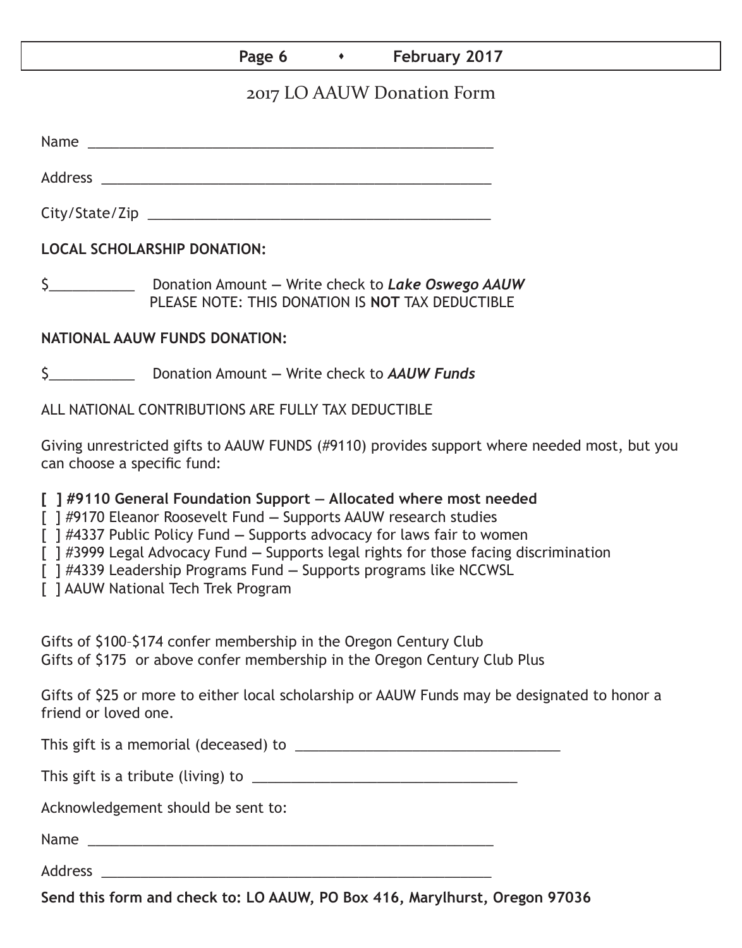# Page 6 **Capacity February 2017**

# 2017 LO AAUW Donation Form

Name was also as a set of  $\sim$  200  $\mu$  m  $\sim$  200  $\mu$  m  $\sim$  200  $\mu$  m  $\sim$  200  $\mu$  m  $\sim$  200  $\mu$ 

Address \_\_\_\_\_\_\_\_\_\_\_\_\_\_\_\_\_\_\_\_\_\_\_\_\_\_\_\_\_\_\_\_\_\_\_\_\_\_\_\_\_\_\_\_\_\_\_\_\_\_

City/State/Zip \_\_\_\_\_\_\_\_\_\_\_\_\_\_\_\_\_\_\_\_\_\_\_\_\_\_\_\_\_\_\_\_\_\_\_\_\_\_\_\_\_\_\_\_

**LOCAL SCHOLARSHIP DONATION:**

\$\_\_\_\_\_\_\_\_\_\_\_ Donation Amount **—** Write check to *Lake Oswego AAUW* PLEASE NOTE: THIS DONATION IS **NOT** TAX DEDUCTIBLE

# **NATIONAL AAUW FUNDS DONATION:**

\$\_\_\_\_\_\_\_\_\_\_\_ Donation Amount **—** Write check to *AAUW Funds*

ALL NATIONAL CONTRIBUTIONS ARE FULLY TAX DEDUCTIBLE

Giving unrestricted gifts to AAUW FUNDS (#9110) provides support where needed most, but you can choose a specific fund:

**[ ] #9110 General Foundation Support — Allocated where most needed** 

[ ] #9170 Eleanor Roosevelt Fund **—** Supports AAUW research studies

[ ] #4337 Public Policy Fund **—** Supports advocacy for laws fair to women

[ ] #3999 Legal Advocacy Fund **—** Supports legal rights for those facing discrimination

[ ] #4339 Leadership Programs Fund **—** Supports programs like NCCWSL

[ ] AAUW National Tech Trek Program

Gifts of \$100–\$174 confer membership in the Oregon Century Club Gifts of \$175 or above confer membership in the Oregon Century Club Plus

Gifts of \$25 or more to either local scholarship or AAUW Funds may be designated to honor a friend or loved one.

This gift is a memorial (deceased) to \_\_\_\_\_\_\_\_\_\_\_\_\_\_\_\_\_\_\_\_\_\_\_\_\_\_\_\_\_\_\_\_\_\_

This gift is a tribute (living) to \_\_\_\_\_\_\_\_\_\_\_\_\_\_\_\_\_\_\_\_\_\_\_\_\_\_\_\_\_\_\_\_\_\_

Acknowledgement should be sent to:

Name \_\_\_\_\_\_\_\_\_\_\_\_\_\_\_\_\_\_\_\_\_\_\_\_\_\_\_\_\_\_\_\_\_\_\_\_\_\_\_\_\_\_\_\_\_\_\_\_\_\_\_\_

Address \_\_\_\_\_\_\_\_\_\_\_\_\_\_\_\_\_\_\_\_\_\_\_\_\_\_\_\_\_\_\_\_\_\_\_\_\_\_\_\_\_\_\_\_\_\_\_\_\_\_

**Send this form and check to: LO AAUW, PO Box 416, Marylhurst, Oregon 97036**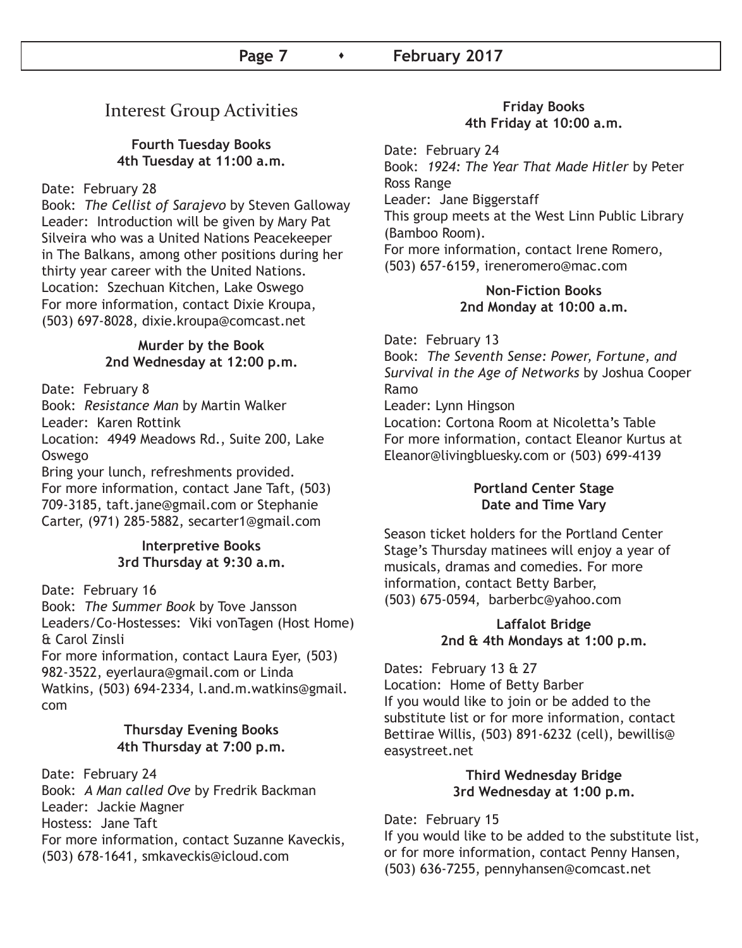# Interest Group Activities

# **Fourth Tuesday Books 4th Tuesday at 11:00 a.m.**

# Date: February 28

Book: *The Cellist of Sarajevo* by Steven Galloway Leader: Introduction will be given by Mary Pat Silveira who was a United Nations Peacekeeper in The Balkans, among other positions during her thirty year career with the United Nations. Location: Szechuan Kitchen, Lake Oswego For more information, contact Dixie Kroupa, (503) 697-8028, dixie.kroupa@comcast.net

# **Murder by the Book 2nd Wednesday at 12:00 p.m.**

Date: February 8

Book: *Resistance Man* by Martin Walker Leader: Karen Rottink

Location: 4949 Meadows Rd., Suite 200, Lake Oswego

Bring your lunch, refreshments provided. For more information, contact Jane Taft, (503) 709-3185, taft.jane@gmail.com or Stephanie Carter, (971) 285-5882, secarter1@gmail.com

# **Interpretive Books 3rd Thursday at 9:30 a.m.**

Date: February 16

Book: *The Summer Book* by Tove Jansson Leaders/Co-Hostesses: Viki vonTagen (Host Home) & Carol Zinsli

For more information, contact Laura Eyer, (503) 982-3522, eyerlaura@gmail.com or Linda Watkins, (503) 694-2334, l.and.m.watkins@gmail. com

# **Thursday Evening Books 4th Thursday at 7:00 p.m.**

Date: February 24 Book: *A Man called Ove* by Fredrik Backman Leader: Jackie Magner Hostess: Jane Taft For more information, contact Suzanne Kaveckis, (503) 678-1641, smkaveckis@icloud.com

### **Friday Books 4th Friday at 10:00 a.m.**

Date: February 24 Book: *1924: The Year That Made Hitler* by Peter Ross Range Leader: Jane Biggerstaff This group meets at the West Linn Public Library (Bamboo Room). For more information, contact Irene Romero, (503) 657-6159, ireneromero@mac.com

## **Non-Fiction Books 2nd Monday at 10:00 a.m.**

Date: February 13 Book: *The Seventh Sense: Power, Fortune, and Survival in the Age of Networks* by Joshua Cooper Ramo Leader: Lynn Hingson Location: Cortona Room at Nicoletta's Table For more information, contact Eleanor Kurtus at Eleanor@livingbluesky.com or (503) 699-4139

# **Portland Center Stage Date and Time Vary**

Season ticket holders for the Portland Center Stage's Thursday matinees will enjoy a year of musicals, dramas and comedies. For more information, contact Betty Barber, (503) 675-0594, barberbc@yahoo.com

# **Laffalot Bridge 2nd & 4th Mondays at 1:00 p.m.**

Dates: February 13 & 27 Location: Home of Betty Barber If you would like to join or be added to the substitute list or for more information, contact Bettirae Willis, (503) 891-6232 (cell), bewillis@ easystreet.net

### **Third Wednesday Bridge 3rd Wednesday at 1:00 p.m.**

# Date: February 15

If you would like to be added to the substitute list, or for more information, contact Penny Hansen, (503) 636-7255, pennyhansen@comcast.net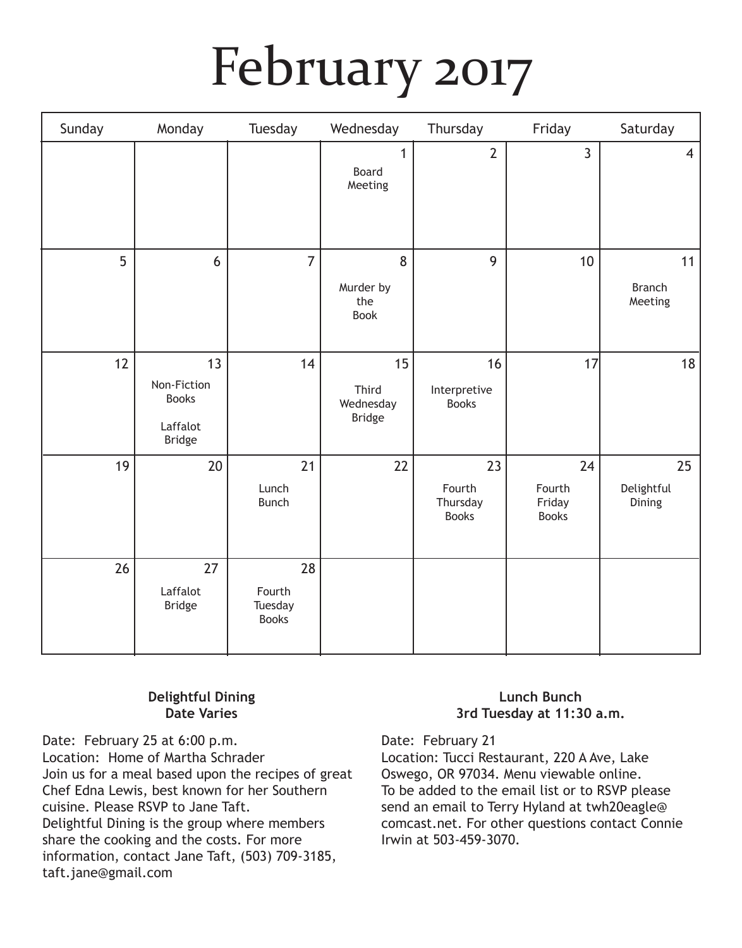# February 2017

| Sunday | Monday                                                         | Tuesday                                 | Wednesday                                 | Thursday                                 | Friday                                 | Saturday                       |
|--------|----------------------------------------------------------------|-----------------------------------------|-------------------------------------------|------------------------------------------|----------------------------------------|--------------------------------|
|        |                                                                |                                         | $\mathbf{1}$<br>Board<br>Meeting          | $\overline{2}$                           | $\overline{3}$                         | $\overline{4}$                 |
| 5      | 6                                                              | $\overline{7}$                          | 8<br>Murder by<br>the<br><b>Book</b>      | 9                                        | 10                                     | 11<br><b>Branch</b><br>Meeting |
| 12     | 13<br>Non-Fiction<br><b>Books</b><br>Laffalot<br><b>Bridge</b> | 14                                      | 15<br>Third<br>Wednesday<br><b>Bridge</b> | 16<br>Interpretive<br><b>Books</b>       | 17                                     | 18                             |
| 19     | 20                                                             | 21<br>Lunch<br><b>Bunch</b>             | 22                                        | 23<br>Fourth<br>Thursday<br><b>Books</b> | 24<br>Fourth<br>Friday<br><b>Books</b> | 25<br>Delightful<br>Dining     |
| 26     | 27<br>Laffalot<br><b>Bridge</b>                                | 28<br>Fourth<br>Tuesday<br><b>Books</b> |                                           |                                          |                                        |                                |

# **Delightful Dining Date Varies**

Date: February 25 at 6:00 p.m. Location: Home of Martha Schrader Join us for a meal based upon the recipes of great Chef Edna Lewis, best known for her Southern cuisine. Please RSVP to Jane Taft. Delightful Dining is the group where members share the cooking and the costs. For more information, contact Jane Taft, (503) 709-3185, taft.jane@gmail.com

# **Lunch Bunch 3rd Tuesday at 11:30 a.m.**

Date: February 21

Location: Tucci Restaurant, 220 A Ave, Lake Oswego, OR 97034. Menu viewable online. To be added to the email list or to RSVP please send an email to Terry Hyland at twh20eagle@ comcast.net. For other questions contact Connie Irwin at 503-459-3070.